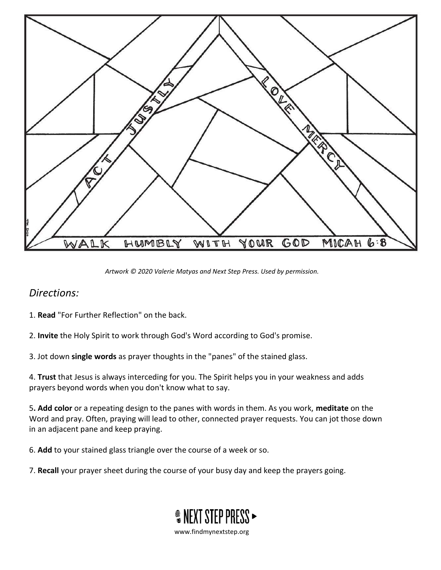

Artwork © 2020 Valerie Matyas and Next Step Press. Used by permission.

## Directions:

- 1. Read "For Further Reflection" on the back.
- 2. Invite the Holy Spirit to work through God's Word according to God's promise.
- 3. Jot down single words as prayer thoughts in the "panes" of the stained glass.

4. Trust that Jesus is always interceding for you. The Spirit helps you in your weakness and adds prayers beyond words when you don't know what to say.

5. Add color or a repeating design to the panes with words in them. As you work, meditate on the Word and pray. Often, praying will lead to other, connected prayer requests. You can jot those down in an adjacent pane and keep praying.

6. Add to your stained glass triangle over the course of a week or so.

7. Recall your prayer sheet during the course of your busy day and keep the prayers going.